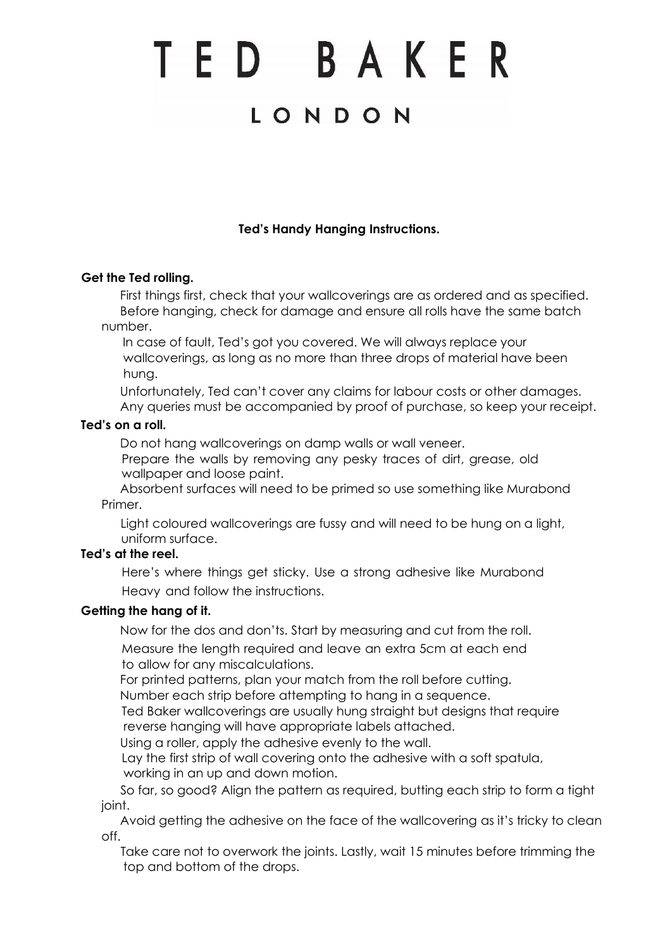# TED BAKER

# LONDON

# **Ted's Handy Hanging Instructions.**

#### **Get the Ted rolling.**

 First things first, check that your wallcoverings are as ordered and as specified. Before hanging, check for damage and ensure all rolls have the same batch number.

In case of fault, Ted's got you covered. We will always replace your wallcoverings, as long as no more than three drops of material have been hung.

 Unfortunately, Ted can't cover any claims for labour costs or other damages. Any queries must be accompanied by proof of purchase, so keep your receipt.

#### **Ted's on a roll.**

Do not hang wallcoverings on damp walls or wall veneer.

Prepare the walls by removing any pesky traces of dirt, grease, old wallpaper and loose paint.

 Absorbent surfaces will need to be primed so use something like Murabond Primer.

Light coloured wallcoverings are fussy and will need to be hung on a light, uniform surface.

#### **Ted's at the reel.**

Here's where things get sticky. Use a strong adhesive like Murabond Heavy and follow the instructions.

## **Getting the hang of it.**

Now for the dos and don'ts. Start by measuring and cut from the roll.

Measure the length required and leave an extra 5cm at each end to allow for any miscalculations.

For printed patterns, plan your match from the roll before cutting.

Number each strip before attempting to hang in a sequence.

Ted Baker wallcoverings are usually hung straight but designs that require reverse hanging will have appropriate labels attached.

Using a roller, apply the adhesive evenly to the wall.

Lay the first strip of wall covering onto the adhesive with a soft spatula, working in an up and down motion.

 So far, so good? Align the pattern as required, butting each strip to form a tight ioint.

 Avoid getting the adhesive on the face of the wallcovering as it's tricky to clean off.

Take care not to overwork the joints. Lastly, wait 15 minutes before trimming the top and bottom of the drops.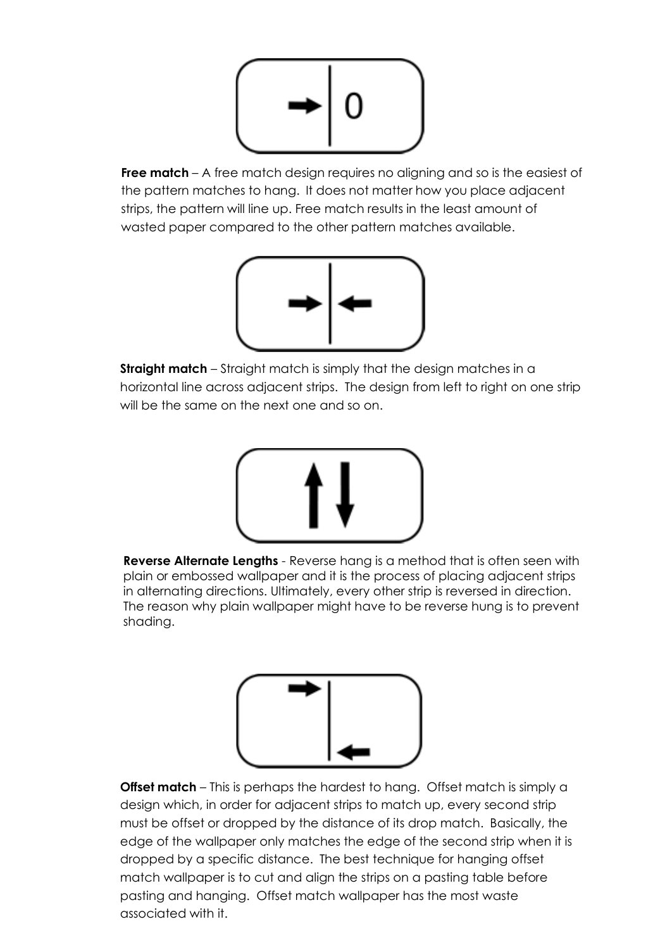

**Free match** – A free match design requires no aligning and so is the easiest of the pattern matches to hang. It does not matter how you place adjacent strips, the pattern will line up. Free match results in the least amount of wasted paper compared to the other pattern matches available.



**Straight match** – Straight match is simply that the design matches in a horizontal line across adjacent strips. The design from left to right on one strip will be the same on the next one and so on.



**Reverse Alternate Lengths** - Reverse hang is a method that is often seen with plain or embossed wallpaper and it is the process of placing adjacent strips in alternating directions. Ultimately, every other strip is reversed in direction. The reason why plain wallpaper might have to be reverse hung is to prevent shading.



**Offset match** – This is perhaps the hardest to hang. Offset match is simply a design which, in order for adjacent strips to match up, every second strip must be offset or dropped by the distance of its drop match. Basically, the edge of the wallpaper only matches the edge of the second strip when it is dropped by a specific distance. The best technique for hanging offset match wallpaper is to cut and align the strips on a pasting table before pasting and hanging. Offset match wallpaper has the most waste associated with it.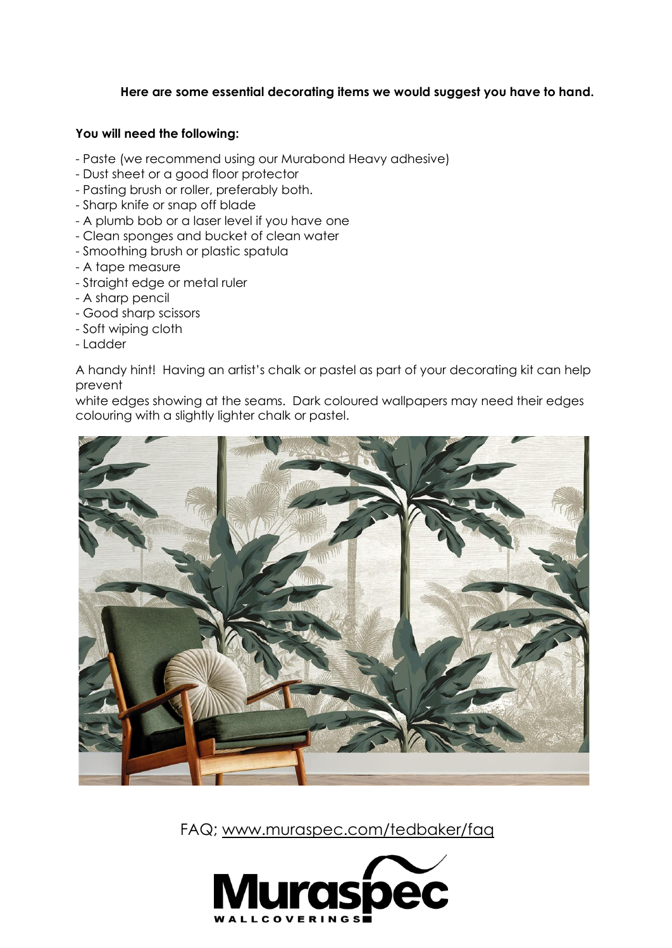## **Here are some essential decorating items we would suggest you have to hand.**

#### **You will need the following:**

- Paste (we recommend using our Murabond Heavy adhesive)
- Dust sheet or a good floor protector
- Pasting brush or roller, preferably both.
- Sharp knife or snap off blade
- A plumb bob or a laser level if you have one
- Clean sponges and bucket of clean water
- Smoothing brush or plastic spatula
- A tape measure
- Straight edge or metal ruler
- A sharp pencil
- Good sharp scissors
- Soft wiping cloth
- Ladder

A handy hint! Having an artist's chalk or pastel as part of your decorating kit can help prevent

white edges showing at the seams. Dark coloured wallpapers may need their edges colouring with a slightly lighter chalk or pastel.



FAQ; [www.muraspec.com/tedbaker/faq](http://www.muraspec.com/tedbaker/faq)